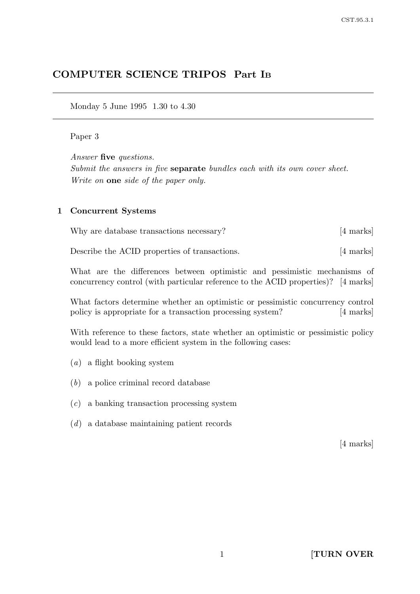# COMPUTER SCIENCE TRIPOS Part I<sup>B</sup>

Monday 5 June 1995 1.30 to 4.30

#### Paper 3

Answer five questions. Submit the answers in five **separate** bundles each with its own cover sheet. Write on one side of the paper only.

#### 1 Concurrent Systems

Why are database transactions necessary? [4 marks]

Describe the ACID properties of transactions. [4 marks]

What are the differences between optimistic and pessimistic mechanisms of concurrency control (with particular reference to the ACID properties)? [4 marks]

What factors determine whether an optimistic or pessimistic concurrency control policy is appropriate for a transaction processing system? [4 marks]

With reference to these factors, state whether an optimistic or pessimistic policy would lead to a more efficient system in the following cases:

- $(a)$  a flight booking system
- (b) a police criminal record database
- (c) a banking transaction processing system
- (d) a database maintaining patient records

[4 marks]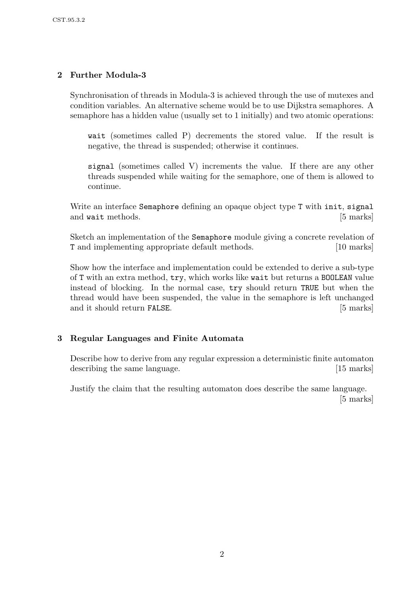## 2 Further Modula-3

Synchronisation of threads in Modula-3 is achieved through the use of mutexes and condition variables. An alternative scheme would be to use Dijkstra semaphores. A semaphore has a hidden value (usually set to 1 initially) and two atomic operations:

wait (sometimes called P) decrements the stored value. If the result is negative, the thread is suspended; otherwise it continues.

signal (sometimes called V) increments the value. If there are any other threads suspended while waiting for the semaphore, one of them is allowed to continue.

Write an interface Semaphore defining an opaque object type T with init, signal and wait methods. [5 marks]

Sketch an implementation of the Semaphore module giving a concrete revelation of T and implementing appropriate default methods. [10 marks]

Show how the interface and implementation could be extended to derive a sub-type of T with an extra method, try, which works like wait but returns a BOOLEAN value instead of blocking. In the normal case, try should return TRUE but when the thread would have been suspended, the value in the semaphore is left unchanged and it should return FALSE. [5 marks]

### 3 Regular Languages and Finite Automata

Describe how to derive from any regular expression a deterministic finite automaton describing the same language. [15 marks]

Justify the claim that the resulting automaton does describe the same language. [5 marks]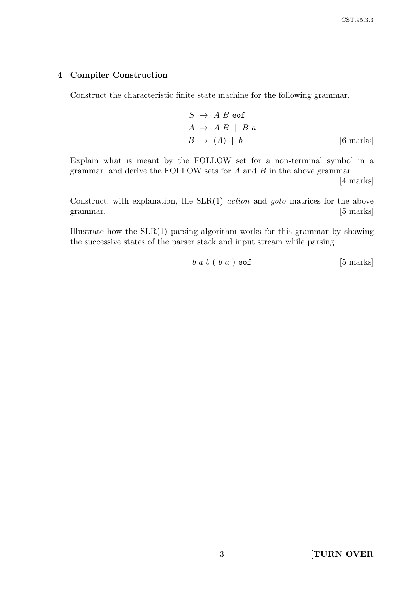### 4 Compiler Construction

Construct the characteristic finite state machine for the following grammar.

$$
S \rightarrow A B \text{ eof}
$$
  
\n
$$
A \rightarrow A B \mid B a
$$
  
\n
$$
B \rightarrow (A) \mid b
$$
 [6 marks]

Explain what is meant by the FOLLOW set for a non-terminal symbol in a grammar, and derive the FOLLOW sets for  $A$  and  $B$  in the above grammar. [4 marks]

Construct, with explanation, the  $SLR(1)$  *action* and *goto* matrices for the above grammar. [5 marks]

Illustrate how the  $SLR(1)$  parsing algorithm works for this grammar by showing the successive states of the parser stack and input stream while parsing

$$
b \, a \, b \, (b \, a \, ) \, \text{eof} \tag{5 \, marks}
$$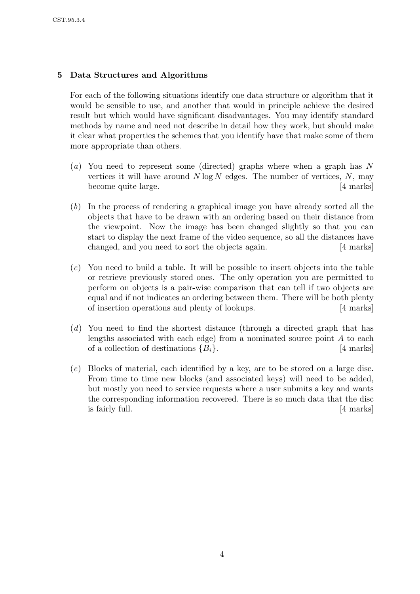### 5 Data Structures and Algorithms

For each of the following situations identify one data structure or algorithm that it would be sensible to use, and another that would in principle achieve the desired result but which would have significant disadvantages. You may identify standard methods by name and need not describe in detail how they work, but should make it clear what properties the schemes that you identify have that make some of them more appropriate than others.

- (a) You need to represent some (directed) graphs where when a graph has N vertices it will have around  $N \log N$  edges. The number of vertices,  $N$ , may become quite large. [4 marks]
- (b) In the process of rendering a graphical image you have already sorted all the objects that have to be drawn with an ordering based on their distance from the viewpoint. Now the image has been changed slightly so that you can start to display the next frame of the video sequence, so all the distances have changed, and you need to sort the objects again. [4 marks]
- (c) You need to build a table. It will be possible to insert objects into the table or retrieve previously stored ones. The only operation you are permitted to perform on objects is a pair-wise comparison that can tell if two objects are equal and if not indicates an ordering between them. There will be both plenty of insertion operations and plenty of lookups. [4 marks]
- (d) You need to find the shortest distance (through a directed graph that has lengths associated with each edge) from a nominated source point  $A$  to each of a collection of destinations  ${B_i}$ . [4 marks]
- (e) Blocks of material, each identified by a key, are to be stored on a large disc. From time to time new blocks (and associated keys) will need to be added, but mostly you need to service requests where a user submits a key and wants the corresponding information recovered. There is so much data that the disc is fairly full. [4 marks]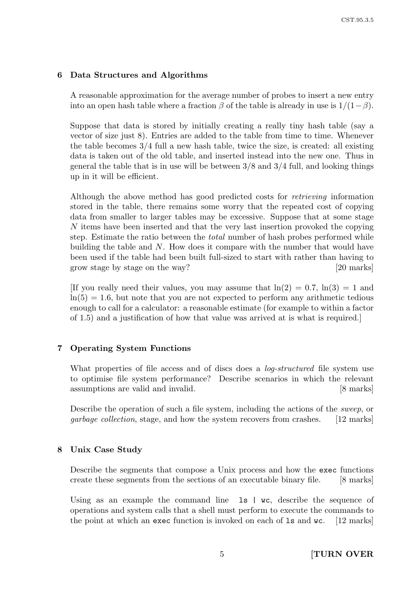#### 6 Data Structures and Algorithms

A reasonable approximation for the average number of probes to insert a new entry into an open hash table where a fraction  $\beta$  of the table is already in use is  $1/(1-\beta)$ .

Suppose that data is stored by initially creating a really tiny hash table (say a vector of size just 8). Entries are added to the table from time to time. Whenever the table becomes  $3/4$  full a new hash table, twice the size, is created: all existing data is taken out of the old table, and inserted instead into the new one. Thus in general the table that is in use will be between 3/8 and 3/4 full, and looking things up in it will be efficient.

Although the above method has good predicted costs for retrieving information stored in the table, there remains some worry that the repeated cost of copying data from smaller to larger tables may be excessive. Suppose that at some stage N items have been inserted and that the very last insertion provoked the copying step. Estimate the ratio between the total number of hash probes performed while building the table and N. How does it compare with the number that would have been used if the table had been built full-sized to start with rather than having to grow stage by stage on the way? [20 marks]

[If you really need their values, you may assume that  $ln(2) = 0.7$ ,  $ln(3) = 1$  and  $ln(5) = 1.6$ , but note that you are not expected to perform any arithmetic tedious enough to call for a calculator: a reasonable estimate (for example to within a factor of 1.5) and a justification of how that value was arrived at is what is required.]

#### 7 Operating System Functions

What properties of file access and of discs does a *log-structured* file system use to optimise file system performance? Describe scenarios in which the relevant assumptions are valid and invalid. [8 marks]

Describe the operation of such a file system, including the actions of the sweep, or garbage collection, stage, and how the system recovers from crashes. [12 marks]

#### 8 Unix Case Study

Describe the segments that compose a Unix process and how the exec functions create these segments from the sections of an executable binary file. [8 marks]

Using as an example the command line 1s | wc, describe the sequence of operations and system calls that a shell must perform to execute the commands to the point at which an exec function is invoked on each of ls and wc. [12 marks]